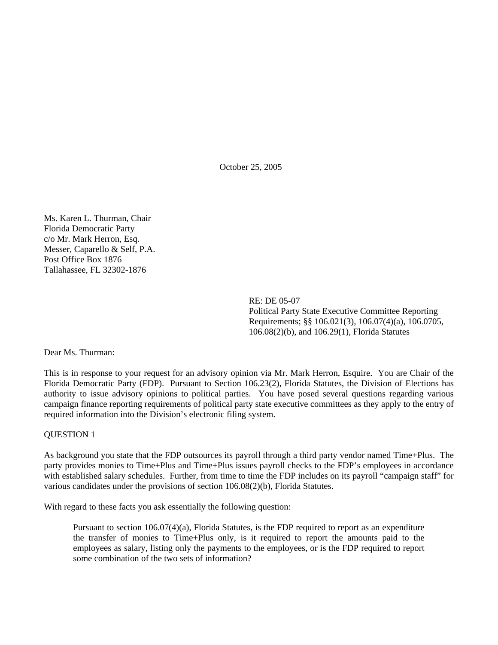October 25, 2005

Ms. Karen L. Thurman, Chair Florida Democratic Party c/o Mr. Mark Herron, Esq. Messer, Caparello & Self, P.A. Post Office Box 1876 Tallahassee, FL 32302-1876

> RE: DE 05-07 Political Party State Executive Committee Reporting Requirements; §§ 106.021(3), 106.07(4)(a), 106.0705, 106.08(2)(b), and 106.29(1), Florida Statutes

Dear Ms. Thurman:

This is in response to your request for an advisory opinion via Mr. Mark Herron, Esquire. You are Chair of the Florida Democratic Party (FDP). Pursuant to Section 106.23(2), Florida Statutes, the Division of Elections has authority to issue advisory opinions to political parties. You have posed several questions regarding various campaign finance reporting requirements of political party state executive committees as they apply to the entry of required information into the Division's electronic filing system.

## QUESTION 1

As background you state that the FDP outsources its payroll through a third party vendor named Time+Plus. The party provides monies to Time+Plus and Time+Plus issues payroll checks to the FDP's employees in accordance with established salary schedules. Further, from time to time the FDP includes on its payroll "campaign staff" for various candidates under the provisions of section 106.08(2)(b), Florida Statutes.

With regard to these facts you ask essentially the following question:

Pursuant to section 106.07(4)(a), Florida Statutes, is the FDP required to report as an expenditure the transfer of monies to Time+Plus only, is it required to report the amounts paid to the employees as salary, listing only the payments to the employees, or is the FDP required to report some combination of the two sets of information?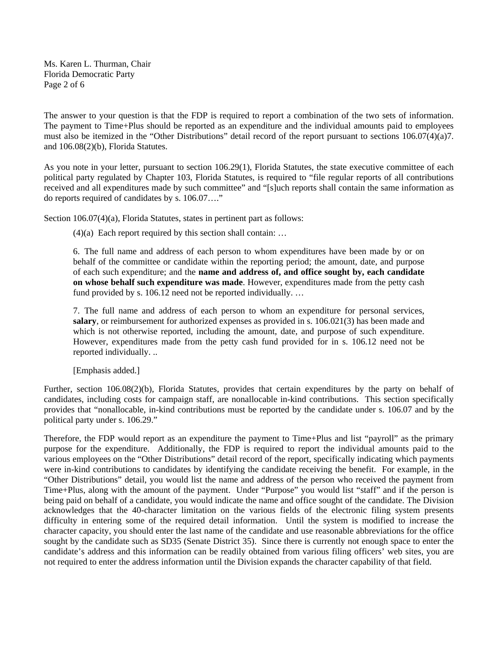Ms. Karen L. Thurman, Chair Florida Democratic Party Page 2 of 6

The answer to your question is that the FDP is required to report a combination of the two sets of information. The payment to Time+Plus should be reported as an expenditure and the individual amounts paid to employees must also be itemized in the "Other Distributions" detail record of the report pursuant to sections 106.07(4)(a)7. and 106.08(2)(b), Florida Statutes.

As you note in your letter, pursuant to section 106.29(1), Florida Statutes, the state executive committee of each political party regulated by Chapter 103, Florida Statutes, is required to "file regular reports of all contributions received and all expenditures made by such committee" and "[s]uch reports shall contain the same information as do reports required of candidates by s. 106.07…."

Section 106.07(4)(a), Florida Statutes, states in pertinent part as follows:

 $(4)(a)$  Each report required by this section shall contain: ...

6. The full name and address of each person to whom expenditures have been made by or on behalf of the committee or candidate within the reporting period; the amount, date, and purpose of each such expenditure; and the **name and address of, and office sought by, each candidate on whose behalf such expenditure was made**. However, expenditures made from the petty cash fund provided by s. 106.12 need not be reported individually. …

7. The full name and address of each person to whom an expenditure for personal services, **salary**, or reimbursement for authorized expenses as provided in s. 106.021(3) has been made and which is not otherwise reported, including the amount, date, and purpose of such expenditure. However, expenditures made from the petty cash fund provided for in s. 106.12 need not be reported individually. ..

[Emphasis added.]

Further, section 106.08(2)(b), Florida Statutes, provides that certain expenditures by the party on behalf of candidates, including costs for campaign staff, are nonallocable in-kind contributions. This section specifically provides that "nonallocable, in-kind contributions must be reported by the candidate under s. 106.07 and by the political party under s. 106.29."

Therefore, the FDP would report as an expenditure the payment to Time+Plus and list "payroll" as the primary purpose for the expenditure. Additionally, the FDP is required to report the individual amounts paid to the various employees on the "Other Distributions" detail record of the report, specifically indicating which payments were in-kind contributions to candidates by identifying the candidate receiving the benefit. For example, in the "Other Distributions" detail, you would list the name and address of the person who received the payment from Time+Plus, along with the amount of the payment. Under "Purpose" you would list "staff" and if the person is being paid on behalf of a candidate, you would indicate the name and office sought of the candidate. The Division acknowledges that the 40-character limitation on the various fields of the electronic filing system presents difficulty in entering some of the required detail information. Until the system is modified to increase the character capacity, you should enter the last name of the candidate and use reasonable abbreviations for the office sought by the candidate such as SD35 (Senate District 35). Since there is currently not enough space to enter the candidate's address and this information can be readily obtained from various filing officers' web sites, you are not required to enter the address information until the Division expands the character capability of that field.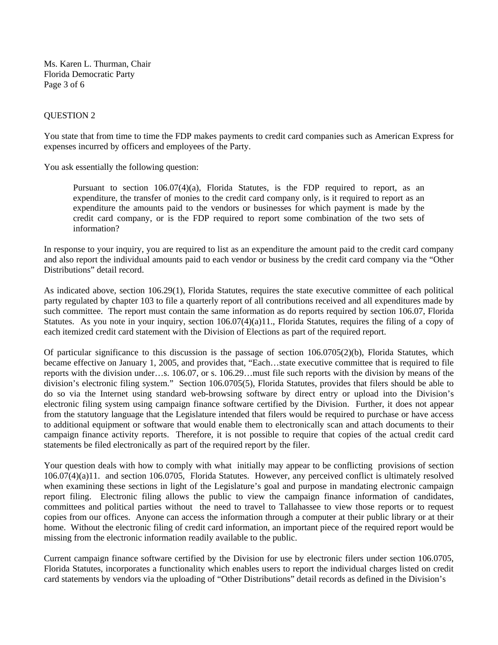Ms. Karen L. Thurman, Chair Florida Democratic Party Page 3 of 6

## QUESTION 2

You state that from time to time the FDP makes payments to credit card companies such as American Express for expenses incurred by officers and employees of the Party.

You ask essentially the following question:

Pursuant to section 106.07(4)(a), Florida Statutes, is the FDP required to report, as an expenditure, the transfer of monies to the credit card company only, is it required to report as an expenditure the amounts paid to the vendors or businesses for which payment is made by the credit card company, or is the FDP required to report some combination of the two sets of information?

In response to your inquiry, you are required to list as an expenditure the amount paid to the credit card company and also report the individual amounts paid to each vendor or business by the credit card company via the "Other Distributions" detail record.

As indicated above, section 106.29(1), Florida Statutes, requires the state executive committee of each political party regulated by chapter 103 to file a quarterly report of all contributions received and all expenditures made by such committee. The report must contain the same information as do reports required by section 106.07, Florida Statutes. As you note in your inquiry, section 106.07(4)(a)11., Florida Statutes, requires the filing of a copy of each itemized credit card statement with the Division of Elections as part of the required report.

Of particular significance to this discussion is the passage of section 106.0705(2)(b), Florida Statutes, which became effective on January 1, 2005, and provides that, "Each…state executive committee that is required to file reports with the division under…s. 106.07, or s. 106.29…must file such reports with the division by means of the division's electronic filing system." Section 106.0705(5), Florida Statutes, provides that filers should be able to do so via the Internet using standard web-browsing software by direct entry or upload into the Division's electronic filing system using campaign finance software certified by the Division. Further, it does not appear from the statutory language that the Legislature intended that filers would be required to purchase or have access to additional equipment or software that would enable them to electronically scan and attach documents to their campaign finance activity reports. Therefore, it is not possible to require that copies of the actual credit card statements be filed electronically as part of the required report by the filer.

Your question deals with how to comply with what initially may appear to be conflicting provisions of section 106.07(4)(a)11. and section 106.0705, Florida Statutes. However, any perceived conflict is ultimately resolved when examining these sections in light of the Legislature's goal and purpose in mandating electronic campaign report filing. Electronic filing allows the public to view the campaign finance information of candidates, committees and political parties without the need to travel to Tallahassee to view those reports or to request copies from our offices. Anyone can access the information through a computer at their public library or at their home. Without the electronic filing of credit card information, an important piece of the required report would be missing from the electronic information readily available to the public.

Current campaign finance software certified by the Division for use by electronic filers under section 106.0705, Florida Statutes, incorporates a functionality which enables users to report the individual charges listed on credit card statements by vendors via the uploading of "Other Distributions" detail records as defined in the Division's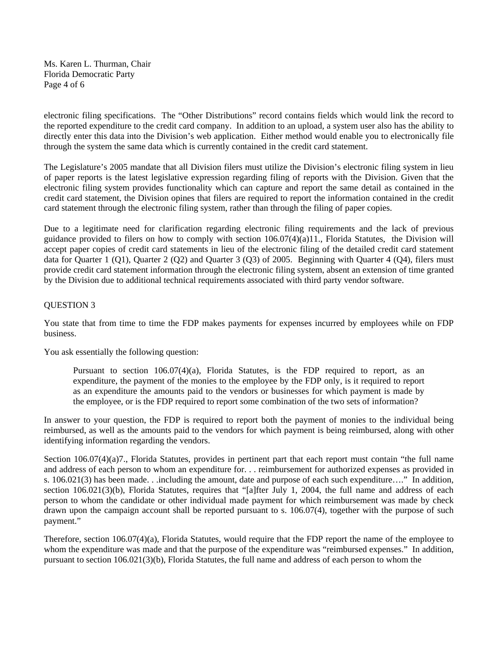Ms. Karen L. Thurman, Chair Florida Democratic Party Page 4 of 6

electronic filing specifications. The "Other Distributions" record contains fields which would link the record to the reported expenditure to the credit card company. In addition to an upload, a system user also has the ability to directly enter this data into the Division's web application. Either method would enable you to electronically file through the system the same data which is currently contained in the credit card statement.

The Legislature's 2005 mandate that all Division filers must utilize the Division's electronic filing system in lieu of paper reports is the latest legislative expression regarding filing of reports with the Division. Given that the electronic filing system provides functionality which can capture and report the same detail as contained in the credit card statement, the Division opines that filers are required to report the information contained in the credit card statement through the electronic filing system, rather than through the filing of paper copies.

Due to a legitimate need for clarification regarding electronic filing requirements and the lack of previous guidance provided to filers on how to comply with section 106.07(4)(a)11., Florida Statutes, the Division will accept paper copies of credit card statements in lieu of the electronic filing of the detailed credit card statement data for Quarter 1 (Q1), Quarter 2 (Q2) and Quarter 3 (Q3) of 2005. Beginning with Quarter 4 (Q4), filers must provide credit card statement information through the electronic filing system, absent an extension of time granted by the Division due to additional technical requirements associated with third party vendor software.

# QUESTION 3

You state that from time to time the FDP makes payments for expenses incurred by employees while on FDP business.

You ask essentially the following question:

Pursuant to section 106.07(4)(a), Florida Statutes, is the FDP required to report, as an expenditure, the payment of the monies to the employee by the FDP only, is it required to report as an expenditure the amounts paid to the vendors or businesses for which payment is made by the employee, or is the FDP required to report some combination of the two sets of information?

In answer to your question, the FDP is required to report both the payment of monies to the individual being reimbursed, as well as the amounts paid to the vendors for which payment is being reimbursed, along with other identifying information regarding the vendors.

Section 106.07(4)(a)7., Florida Statutes, provides in pertinent part that each report must contain "the full name and address of each person to whom an expenditure for. . . reimbursement for authorized expenses as provided in s. 106.021(3) has been made. . .including the amount, date and purpose of each such expenditure…." In addition, section 106.021(3)(b), Florida Statutes, requires that "[a]fter July 1, 2004, the full name and address of each person to whom the candidate or other individual made payment for which reimbursement was made by check drawn upon the campaign account shall be reported pursuant to s. 106.07(4), together with the purpose of such payment."

Therefore, section 106.07(4)(a), Florida Statutes, would require that the FDP report the name of the employee to whom the expenditure was made and that the purpose of the expenditure was "reimbursed expenses." In addition, pursuant to section 106.021(3)(b), Florida Statutes, the full name and address of each person to whom the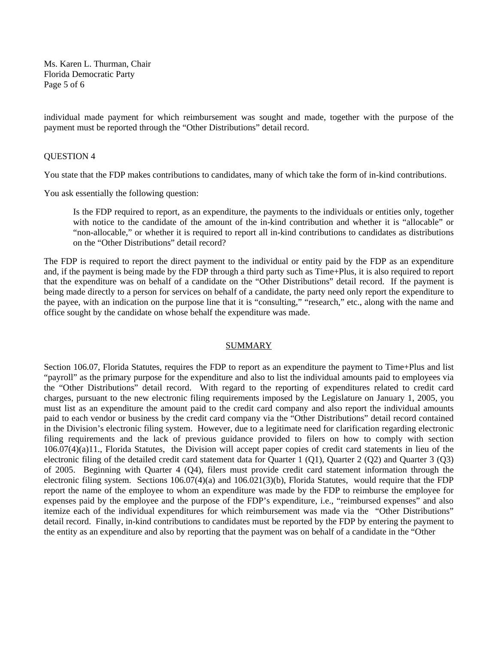Ms. Karen L. Thurman, Chair Florida Democratic Party Page 5 of 6

individual made payment for which reimbursement was sought and made, together with the purpose of the payment must be reported through the "Other Distributions" detail record.

### QUESTION 4

You state that the FDP makes contributions to candidates, many of which take the form of in-kind contributions.

You ask essentially the following question:

Is the FDP required to report, as an expenditure, the payments to the individuals or entities only, together with notice to the candidate of the amount of the in-kind contribution and whether it is "allocable" or "non-allocable," or whether it is required to report all in-kind contributions to candidates as distributions on the "Other Distributions" detail record?

The FDP is required to report the direct payment to the individual or entity paid by the FDP as an expenditure and, if the payment is being made by the FDP through a third party such as Time+Plus, it is also required to report that the expenditure was on behalf of a candidate on the "Other Distributions" detail record. If the payment is being made directly to a person for services on behalf of a candidate, the party need only report the expenditure to the payee, with an indication on the purpose line that it is "consulting," "research," etc., along with the name and office sought by the candidate on whose behalf the expenditure was made.

### SUMMARY

Section 106.07, Florida Statutes, requires the FDP to report as an expenditure the payment to Time+Plus and list "payroll" as the primary purpose for the expenditure and also to list the individual amounts paid to employees via the "Other Distributions" detail record. With regard to the reporting of expenditures related to credit card charges, pursuant to the new electronic filing requirements imposed by the Legislature on January 1, 2005, you must list as an expenditure the amount paid to the credit card company and also report the individual amounts paid to each vendor or business by the credit card company via the "Other Distributions" detail record contained in the Division's electronic filing system. However, due to a legitimate need for clarification regarding electronic filing requirements and the lack of previous guidance provided to filers on how to comply with section 106.07(4)(a)11., Florida Statutes, the Division will accept paper copies of credit card statements in lieu of the electronic filing of the detailed credit card statement data for Quarter 1 (Q1), Quarter 2 (Q2) and Quarter 3 (Q3) of 2005. Beginning with Quarter 4 (Q4), filers must provide credit card statement information through the electronic filing system. Sections 106.07(4)(a) and 106.021(3)(b), Florida Statutes, would require that the FDP report the name of the employee to whom an expenditure was made by the FDP to reimburse the employee for expenses paid by the employee and the purpose of the FDP's expenditure, i.e., "reimbursed expenses" and also itemize each of the individual expenditures for which reimbursement was made via the "Other Distributions" detail record. Finally, in-kind contributions to candidates must be reported by the FDP by entering the payment to the entity as an expenditure and also by reporting that the payment was on behalf of a candidate in the "Other